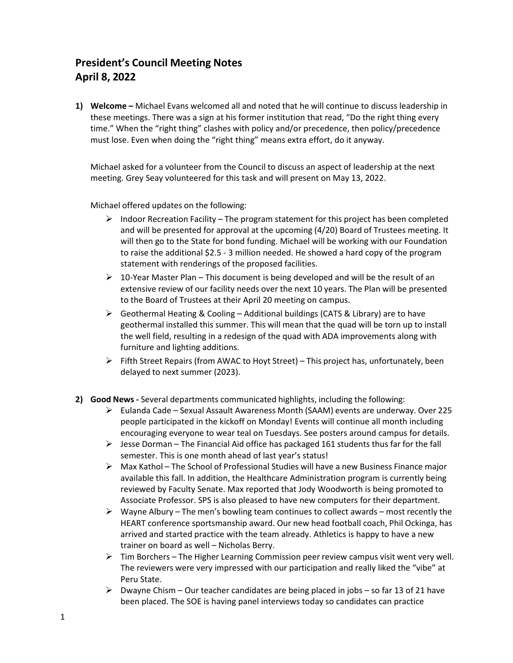## **President's Council Meeting Notes April 8, 2022**

**1) Welcome –** Michael Evans welcomed all and noted that he will continue to discuss leadership in these meetings. There was a sign at his former institution that read, "Do the right thing every time." When the "right thing" clashes with policy and/or precedence, then policy/precedence must lose. Even when doing the "right thing" means extra effort, do it anyway.

Michael asked for a volunteer from the Council to discuss an aspect of leadership at the next meeting. Grey Seay volunteered for this task and will present on May 13, 2022.

Michael offered updates on the following:

- $\triangleright$  Indoor Recreation Facility The program statement for this project has been completed and will be presented for approval at the upcoming (4/20) Board of Trustees meeting. It will then go to the State for bond funding. Michael will be working with our Foundation to raise the additional \$2.5 - 3 million needed. He showed a hard copy of the program statement with renderings of the proposed facilities.
- $\triangleright$  10-Year Master Plan This document is being developed and will be the result of an extensive review of our facility needs over the next 10 years. The Plan will be presented to the Board of Trustees at their April 20 meeting on campus.
- $\triangleright$  Geothermal Heating & Cooling Additional buildings (CATS & Library) are to have geothermal installed this summer. This will mean that the quad will be torn up to install the well field, resulting in a redesign of the quad with ADA improvements along with furniture and lighting additions.
- $\triangleright$  Fifth Street Repairs (from AWAC to Hoyt Street) This project has, unfortunately, been delayed to next summer (2023).
- **2) Good News -** Several departments communicated highlights, including the following:
	- $\triangleright$  Eulanda Cade Sexual Assault Awareness Month (SAAM) events are underway. Over 225 people participated in the kickoff on Monday! Events will continue all month including encouraging everyone to wear teal on Tuesdays. See posters around campus for details.
	- $\triangleright$  Jesse Dorman The Financial Aid office has packaged 161 students thus far for the fall semester. This is one month ahead of last year's status!
	- $\triangleright$  Max Kathol The School of Professional Studies will have a new Business Finance major available this fall. In addition, the Healthcare Administration program is currently being reviewed by Faculty Senate. Max reported that Jody Woodworth is being promoted to Associate Professor. SPS is also pleased to have new computers for their department.
	- $\triangleright$  Wayne Albury The men's bowling team continues to collect awards most recently the HEART conference sportsmanship award. Our new head football coach, Phil Ockinga, has arrived and started practice with the team already. Athletics is happy to have a new trainer on board as well – Nicholas Berry.
	- $\triangleright$  Tim Borchers The Higher Learning Commission peer review campus visit went very well. The reviewers were very impressed with our participation and really liked the "vibe" at Peru State.
	- $\triangleright$  Dwayne Chism Our teacher candidates are being placed in jobs so far 13 of 21 have been placed. The SOE is having panel interviews today so candidates can practice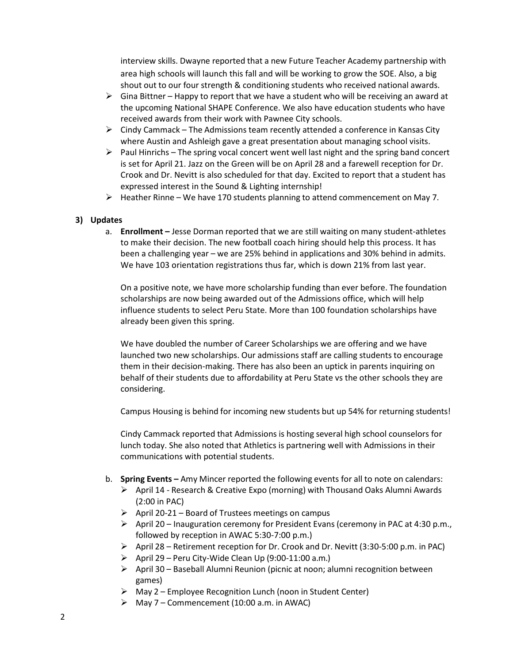interview skills. Dwayne reported that a new Future Teacher Academy partnership with area high schools will launch this fall and will be working to grow the SOE. Also, a big shout out to our four strength & conditioning students who received national awards.

- $\triangleright$  Gina Bittner Happy to report that we have a student who will be receiving an award at the upcoming National SHAPE Conference. We also have education students who have received awards from their work with Pawnee City schools.
- $\triangleright$  Cindy Cammack The Admissions team recently attended a conference in Kansas City where Austin and Ashleigh gave a great presentation about managing school visits.
- $\triangleright$  Paul Hinrichs The spring vocal concert went well last night and the spring band concert is set for April 21. Jazz on the Green will be on April 28 and a farewell reception for Dr. Crook and Dr. Nevitt is also scheduled for that day. Excited to report that a student has expressed interest in the Sound & Lighting internship!
- $\triangleright$  Heather Rinne We have 170 students planning to attend commencement on May 7.

## **3) Updates**

a. **Enrollment –** Jesse Dorman reported that we are still waiting on many student-athletes to make their decision. The new football coach hiring should help this process. It has been a challenging year – we are 25% behind in applications and 30% behind in admits. We have 103 orientation registrations thus far, which is down 21% from last year.

On a positive note, we have more scholarship funding than ever before. The foundation scholarships are now being awarded out of the Admissions office, which will help influence students to select Peru State. More than 100 foundation scholarships have already been given this spring.

We have doubled the number of Career Scholarships we are offering and we have launched two new scholarships. Our admissions staff are calling students to encourage them in their decision-making. There has also been an uptick in parents inquiring on behalf of their students due to affordability at Peru State vs the other schools they are considering.

Campus Housing is behind for incoming new students but up 54% for returning students!

Cindy Cammack reported that Admissions is hosting several high school counselors for lunch today. She also noted that Athletics is partnering well with Admissions in their communications with potential students.

- b. **Spring Events –** Amy Mincer reported the following events for all to note on calendars:
	- $\triangleright$  April 14 Research & Creative Expo (morning) with Thousand Oaks Alumni Awards (2:00 in PAC)
	- $\triangleright$  April 20-21 Board of Trustees meetings on campus
	- $\triangleright$  April 20 Inauguration ceremony for President Evans (ceremony in PAC at 4:30 p.m., followed by reception in AWAC 5:30-7:00 p.m.)
	- $\triangleright$  April 28 Retirement reception for Dr. Crook and Dr. Nevitt (3:30-5:00 p.m. in PAC)
	- $\triangleright$  April 29 Peru City-Wide Clean Up (9:00-11:00 a.m.)
	- $\triangleright$  April 30 Baseball Alumni Reunion (picnic at noon; alumni recognition between games)
	- $\triangleright$  May 2 Employee Recognition Lunch (noon in Student Center)
	- $\triangleright$  May 7 Commencement (10:00 a.m. in AWAC)